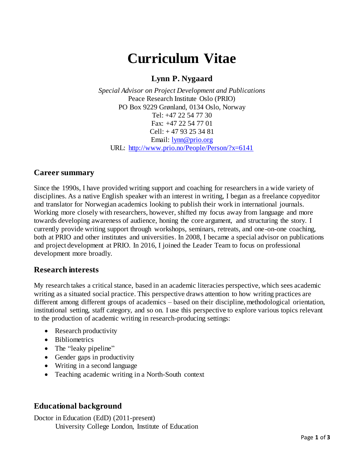# **Curriculum Vitae**

# **Lynn P. Nygaard**

*Special Advisor on Project Development and Publications* Peace Research Institute Oslo (PRIO) PO Box 9229 Grønland, 0134 Oslo, Norway Tel: +47 22 54 77 30 Fax: +47 22 54 77 01 Cell: + 47 93 25 34 81 Email: [lynn@prio.org](mailto:lynn@prio.org) URL:<http://www.prio.no/People/Person/?x=6141>

#### **Career summary**

Since the 1990s, I have provided writing support and coaching for researchers in a wide variety of disciplines. As a native English speaker with an interest in writing, I began as a freelance copyeditor and translator for Norwegian academics looking to publish their work in international journals. Working more closely with researchers, however, shifted my focus away from language and more towards developing awareness of audience, honing the core argument, and structuring the story. I currently provide writing support through workshops, seminars, retreats, and one-on-one coaching, both at PRIO and other institutes and universities. In 2008, I became a special advisor on publications and project development at PRIO. In 2016, I joined the Leader Team to focus on professional development more broadly.

#### **Research interests**

My research takes a critical stance, based in an academic literacies perspective, which sees academic writing as a situated social practice. This perspective draws attention to how writing practices are different among different groups of academics – based on their discipline, methodological orientation, institutional setting, staff category, and so on. I use this perspective to explore various topics relevant to the production of academic writing in research-producing settings:

- Research productivity
- Bibliometrics
- The "leaky pipeline"
- Gender gaps in productivity
- Writing in a second language
- Teaching academic writing in a North-South context

### **Educational background**

Doctor in Education (EdD) (2011-present) University College London, Institute of Education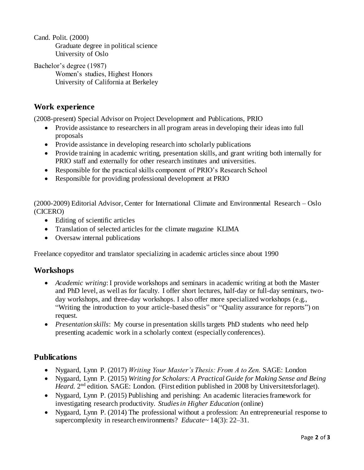Cand. Polit. (2000) Graduate degree in political science University of Oslo

Bachelor's degree (1987) Women's studies, Highest Honors University of California at Berkeley

### **Work experience**

(2008-present) Special Advisor on Project Development and Publications, PRIO

- Provide assistance to researchers in all program areas in developing their ideas into full proposals
- Provide assistance in developing research into scholarly publications
- Provide training in academic writing, presentation skills, and grant writing both internally for PRIO staff and externally for other research institutes and universities.
- Responsible for the practical skills component of PRIO's Research School
- Responsible for providing professional development at PRIO

(2000-2009) Editorial Advisor, Center for International Climate and Environmental Research – Oslo (CICERO)

- Editing of scientific articles
- Translation of selected articles for the climate magazine KLIMA
- Oversaw internal publications

Freelance copyeditor and translator specializing in academic articles since about 1990

### **Workshops**

- *Academic writing*: I provide workshops and seminars in academic writing at both the Master and PhD level, as well as for faculty. I offer short lectures, half-day or full-day seminars, twoday workshops, and three-day workshops. I also offer more specialized workshops (e.g., "Writing the introduction to your article-based thesis" or "Quality assurance for reports") on request.
- *Presentation skills*: My course in presentation skills targets PhD students who need help presenting academic work in a scholarly context (especially conferences).

#### **Publications**

- Nygaard, Lynn P. (2017) *Writing Your Master's Thesis: From A to Zen.* SAGE: London
- Nygaard, Lynn P. (2015) *Writing for Scholars: A Practical Guide for Making Sense and Being*  Heard. 2<sup>nd</sup> edition. SAGE: London. (First edition published in 2008 by Universitetsforlaget).
- Nygaard, Lynn P. (2015) Publishing and perishing: An academic literacies framework for investigating research productivity. *Studies in Higher Education* (online)
- Nygaard, Lynn P. (2014) The professional without a profession: An entrepreneurial response to supercomplexity in research environments? *Educate~* 14(3): 22–31.